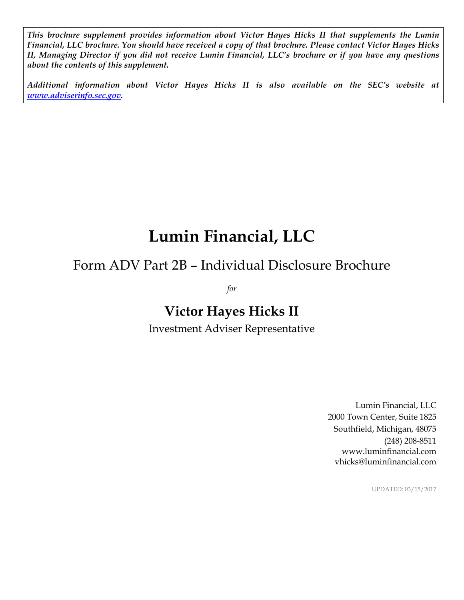*This brochure supplement provides information about Victor Hayes Hicks II that supplements the Lumin Financial, LLC brochure. You should have received a copy of that brochure. Please contact Victor Hayes Hicks II, Managing Director if you did not receive Lumin Financial, LLC's brochure or if you have any questions about the contents of this supplement.*

*Additional information about Victor Hayes Hicks II is also available on the SEC's website at [www.adviserinfo.sec.gov.](http://www.adviserinfo.sec.gov/)*

# **Lumin Financial, LLC**

# Form ADV Part 2B – Individual Disclosure Brochure

*for*

## **Victor Hayes Hicks II**

Investment Adviser Representative

Lumin Financial, LLC 2000 Town Center, Suite 1825 Southfield, Michigan, 48075 (248) 208-8511 www.luminfinancial.com vhicks@luminfinancial.com

UPDATED: 03/15/2017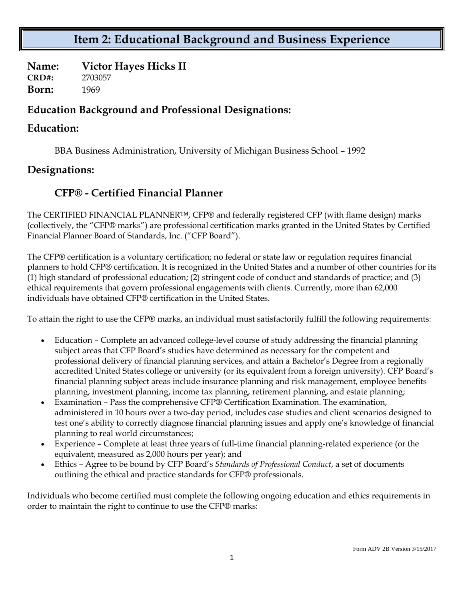### **Item 2: Educational Background and Business Experience**

**Name: Victor Hayes Hicks II CRD#:** 2703057 **Born:** 1969

#### **Education Background and Professional Designations:**

#### **Education:**

BBA Business Administration, University of Michigan Business School – 1992

#### **Designations:**

#### **CFP® - Certified Financial Planner**

The CERTIFIED FINANCIAL PLANNER™, CFP® and federally registered CFP (with flame design) marks (collectively, the "CFP® marks") are professional certification marks granted in the United States by Certified Financial Planner Board of Standards, Inc. ("CFP Board").

The CFP® certification is a voluntary certification; no federal or state law or regulation requires financial planners to hold CFP® certification. It is recognized in the United States and a number of other countries for its (1) high standard of professional education; (2) stringent code of conduct and standards of practice; and (3) ethical requirements that govern professional engagements with clients. Currently, more than 62,000 individuals have obtained CFP® certification in the United States.

To attain the right to use the CFP® marks, an individual must satisfactorily fulfill the following requirements:

- Education Complete an advanced college-level course of study addressing the financial planning subject areas that CFP Board's studies have determined as necessary for the competent and professional delivery of financial planning services, and attain a Bachelor's Degree from a regionally accredited United States college or university (or its equivalent from a foreign university). CFP Board's financial planning subject areas include insurance planning and risk management, employee benefits planning, investment planning, income tax planning, retirement planning, and estate planning;
- Examination Pass the comprehensive CFP® Certification Examination. The examination, administered in 10 hours over a two-day period, includes case studies and client scenarios designed to test one's ability to correctly diagnose financial planning issues and apply one's knowledge of financial planning to real world circumstances;
- Experience Complete at least three years of full-time financial planning-related experience (or the equivalent, measured as 2,000 hours per year); and
- Ethics Agree to be bound by CFP Board's *Standards of Professional Conduct*, a set of documents outlining the ethical and practice standards for CFP® professionals.

Individuals who become certified must complete the following ongoing education and ethics requirements in order to maintain the right to continue to use the CFP® marks: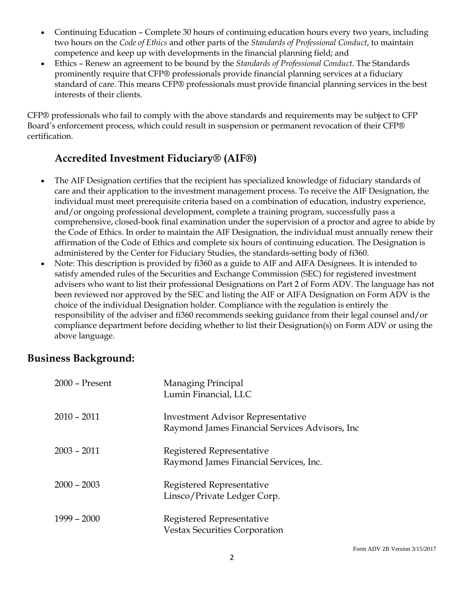- Continuing Education Complete 30 hours of continuing education hours every two years, including two hours on the *Code of Ethics* and other parts of the *Standards of Professional Conduct*, to maintain competence and keep up with developments in the financial planning field; and
- Ethics Renew an agreement to be bound by the *Standards of Professional Conduct*. The Standards prominently require that CFP® professionals provide financial planning services at a fiduciary standard of care. This means CFP® professionals must provide financial planning services in the best interests of their clients.

CFP® professionals who fail to comply with the above standards and requirements may be subject to CFP Board's enforcement process, which could result in suspension or permanent revocation of their CFP® certification.

#### **Accredited Investment Fiduciary® (AIF®)**

- The AIF Designation certifies that the recipient has specialized knowledge of fiduciary standards of care and their application to the investment management process. To receive the AIF Designation, the individual must meet prerequisite criteria based on a combination of education, industry experience, and/or ongoing professional development, complete a training program, successfully pass a comprehensive, closed-book final examination under the supervision of a proctor and agree to abide by the Code of Ethics. In order to maintain the AIF Designation, the individual must annually renew their affirmation of the Code of Ethics and complete six hours of continuing education. The Designation is administered by the Center for Fiduciary Studies, the standards-setting body of fi360.
- Note: This description is provided by fi360 as a guide to AIF and AIFA Designees. It is intended to satisfy amended rules of the Securities and Exchange Commission (SEC) for registered investment advisers who want to list their professional Designations on Part 2 of Form ADV. The language has not been reviewed nor approved by the SEC and listing the AIF or AIFA Designation on Form ADV is the choice of the individual Designation holder. Compliance with the regulation is entirely the responsibility of the adviser and fi360 recommends seeking guidance from their legal counsel and/or compliance department before deciding whether to list their Designation(s) on Form ADV or using the above language.

#### **Business Background:**

| 2000 - Present | Managing Principal<br>Lumin Financial, LLC                                                 |
|----------------|--------------------------------------------------------------------------------------------|
| $2010 - 2011$  | <b>Investment Advisor Representative</b><br>Raymond James Financial Services Advisors, Inc |
| $2003 - 2011$  | Registered Representative<br>Raymond James Financial Services, Inc.                        |
| $2000 - 2003$  | Registered Representative<br>Linsco/Private Ledger Corp.                                   |
| $1999 - 2000$  | Registered Representative<br><b>Vestax Securities Corporation</b>                          |